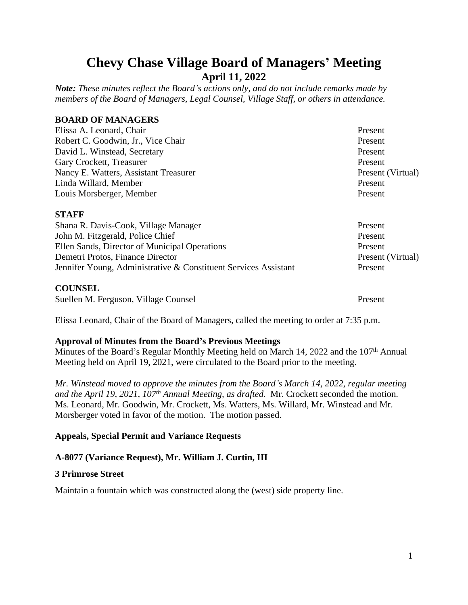# **Chevy Chase Village Board of Managers' Meeting April 11, 2022**

*Note: These minutes reflect the Board's actions only, and do not include remarks made by members of the Board of Managers, Legal Counsel, Village Staff, or others in attendance.*

# **BOARD OF MANAGERS**

| Elissa A. Leonard, Chair                                        | Present           |
|-----------------------------------------------------------------|-------------------|
| Robert C. Goodwin, Jr., Vice Chair                              | Present           |
| David L. Winstead, Secretary                                    | Present           |
| Gary Crockett, Treasurer                                        | Present           |
| Nancy E. Watters, Assistant Treasurer                           | Present (Virtual) |
| Linda Willard, Member                                           | Present           |
| Louis Morsberger, Member                                        | Present           |
| <b>STAFF</b>                                                    |                   |
| Shana R. Davis-Cook, Village Manager                            | Present           |
| John M. Fitzgerald, Police Chief                                | Present           |
| Ellen Sands, Director of Municipal Operations                   | Present           |
| Demetri Protos, Finance Director                                | Present (Virtual) |
| Jennifer Young, Administrative & Constituent Services Assistant | Present           |
| <b>COUNSEL</b>                                                  |                   |
| Suellen M. Ferguson, Village Counsel                            | Present           |

Elissa Leonard, Chair of the Board of Managers, called the meeting to order at 7:35 p.m.

#### **Approval of Minutes from the Board's Previous Meetings**

Minutes of the Board's Regular Monthly Meeting held on March 14, 2022 and the 107<sup>th</sup> Annual Meeting held on April 19, 2021, were circulated to the Board prior to the meeting.

*Mr. Winstead moved to approve the minutes from the Board's March 14, 2022, regular meeting and the April 19, 2021, 107th Annual Meeting, as drafted.* Mr. Crockett seconded the motion. Ms. Leonard, Mr. Goodwin, Mr. Crockett, Ms. Watters, Ms. Willard, Mr. Winstead and Mr. Morsberger voted in favor of the motion. The motion passed.

# **Appeals, Special Permit and Variance Requests**

# **A-8077 (Variance Request), Mr. William J. Curtin, III**

#### **3 Primrose Street**

Maintain a fountain which was constructed along the (west) side property line.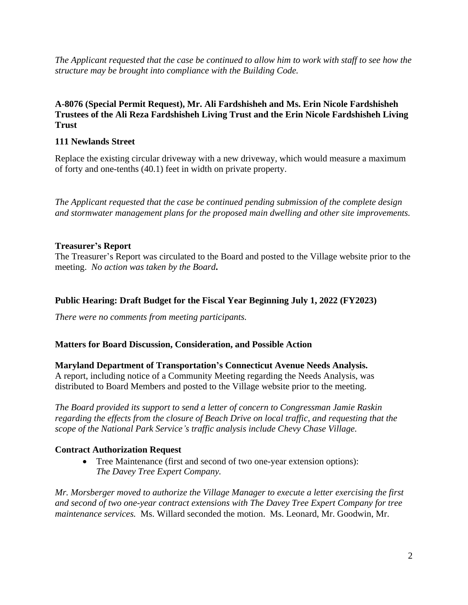*The Applicant requested that the case be continued to allow him to work with staff to see how the structure may be brought into compliance with the Building Code.*

# **A-8076 (Special Permit Request), Mr. Ali Fardshisheh and Ms. Erin Nicole Fardshisheh Trustees of the Ali Reza Fardshisheh Living Trust and the Erin Nicole Fardshisheh Living Trust**

#### **111 Newlands Street**

Replace the existing circular driveway with a new driveway, which would measure a maximum of forty and one-tenths (40.1) feet in width on private property.

*The Applicant requested that the case be continued pending submission of the complete design and stormwater management plans for the proposed main dwelling and other site improvements.*

#### **Treasurer's Report**

The Treasurer's Report was circulated to the Board and posted to the Village website prior to the meeting. *No action was taken by the Board***.**

# **Public Hearing: Draft Budget for the Fiscal Year Beginning July 1, 2022 (FY2023)**

*There were no comments from meeting participants.*

#### **Matters for Board Discussion, Consideration, and Possible Action**

**Maryland Department of Transportation's Connecticut Avenue Needs Analysis.** A report, including notice of a Community Meeting regarding the Needs Analysis, was distributed to Board Members and posted to the Village website prior to the meeting.

*The Board provided its support to send a letter of concern to Congressman Jamie Raskin regarding the effects from the closure of Beach Drive on local traffic, and requesting that the scope of the National Park Service's traffic analysis include Chevy Chase Village.*

# **Contract Authorization Request**

 Tree Maintenance (first and second of two one-year extension options): *The Davey Tree Expert Company.*

*Mr. Morsberger moved to authorize the Village Manager to execute a letter exercising the first and second of two one-year contract extensions with The Davey Tree Expert Company for tree maintenance services.* Ms. Willard seconded the motion. Ms. Leonard, Mr. Goodwin, Mr.